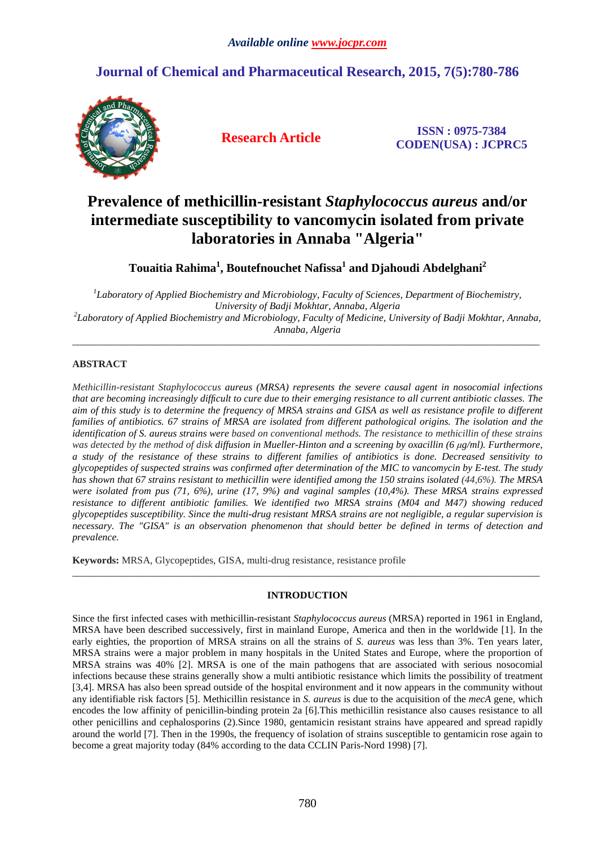## **Journal of Chemical and Pharmaceutical Research, 2015, 7(5):780-786**



**Research Article ISSN : 0975-7384 CODEN(USA) : JCPRC5**

# **Prevalence of methicillin-resistant** *Staphylococcus aureus* **and/or intermediate susceptibility to vancomycin isolated from private laboratories in Annaba "Algeria"**

**Touaitia Rahima<sup>1</sup> , Boutefnouchet Nafissa<sup>1</sup> and Djahoudi Abdelghani<sup>2</sup>**

*1 Laboratory of Applied Biochemistry and Microbiology, Faculty of Sciences, Department of Biochemistry, University of Badji Mokhtar, Annaba, Algeria 2 Laboratory of Applied Biochemistry and Microbiology, Faculty of Medicine, University of Badji Mokhtar, Annaba, Annaba, Algeria* 

\_\_\_\_\_\_\_\_\_\_\_\_\_\_\_\_\_\_\_\_\_\_\_\_\_\_\_\_\_\_\_\_\_\_\_\_\_\_\_\_\_\_\_\_\_\_\_\_\_\_\_\_\_\_\_\_\_\_\_\_\_\_\_\_\_\_\_\_\_\_\_\_\_\_\_\_\_\_\_\_\_\_\_\_\_\_\_\_\_\_\_\_\_

## **ABSTRACT**

*Methicillin-resistant Staphylococcus aureus (MRSA) represents the severe causal agent in nosocomial infections that are becoming increasingly difficult to cure due to their emerging resistance to all current antibiotic classes. The aim of this study is to determine the frequency of MRSA strains and GISA as well as resistance profile to different families of antibiotics. 67 strains of MRSA are isolated from different pathological origins. The isolation and the identification of S. aureus strains were based on conventional methods. The resistance to methicillin of these strains was detected by the method of disk diffusion in Mueller-Hinton and a screening by oxacillin (6 μg/ml). Furthermore, a study of the resistance of these strains to different families of antibiotics is done. Decreased sensitivity to glycopeptides of suspected strains was confirmed after determination of the MIC to vancomycin by E-test. The study has shown that 67 strains resistant to methicillin were identified among the 150 strains isolated (44,6%). The MRSA were isolated from pus (71, 6%), urine (17, 9%) and vaginal samples (10,4%). These MRSA strains expressed resistance to different antibiotic families. We identified two MRSA strains (M04 and M47) showing reduced glycopeptides susceptibility. Since the multi-drug resistant MRSA strains are not negligible, a regular supervision is necessary. The "GISA" is an observation phenomenon that should better be defined in terms of detection and prevalence.* 

**Keywords:** MRSA, Glycopeptides, GISA, multi-drug resistance, resistance profile

### **INTRODUCTION**

\_\_\_\_\_\_\_\_\_\_\_\_\_\_\_\_\_\_\_\_\_\_\_\_\_\_\_\_\_\_\_\_\_\_\_\_\_\_\_\_\_\_\_\_\_\_\_\_\_\_\_\_\_\_\_\_\_\_\_\_\_\_\_\_\_\_\_\_\_\_\_\_\_\_\_\_\_\_\_\_\_\_\_\_\_\_\_\_\_\_\_\_\_

Since the first infected cases with methicillin-resistant *Staphylococcus aureus* (MRSA) reported in 1961 in England, MRSA have been described successively, first in mainland Europe, America and then in the worldwide [1]. In the early eighties, the proportion of MRSA strains on all the strains of *S. aureus* was less than 3%. Ten years later, MRSA strains were a major problem in many hospitals in the United States and Europe, where the proportion of MRSA strains was 40% [2]. MRSA is one of the main pathogens that are associated with serious nosocomial infections because these strains generally show a multi antibiotic resistance which limits the possibility of treatment [3,4]. MRSA has also been spread outside of the hospital environment and it now appears in the community without any identifiable risk factors [5]. Methicillin resistance in *S. aureus* is due to the acquisition of the *mecA* gene, which encodes the low affinity of penicillin-binding protein 2a [6].This methicillin resistance also causes resistance to all other penicillins and cephalosporins (2).Since 1980, gentamicin resistant strains have appeared and spread rapidly around the world [7]. Then in the 1990s, the frequency of isolation of strains susceptible to gentamicin rose again to become a great majority today (84% according to the data CCLIN Paris-Nord 1998) [7].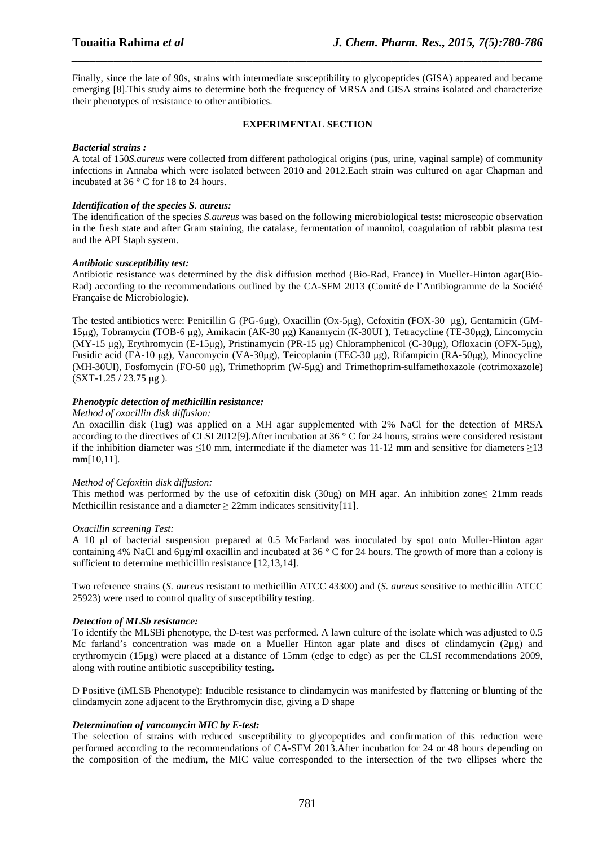Finally, since the late of 90s, strains with intermediate susceptibility to glycopeptides (GISA) appeared and became emerging [8].This study aims to determine both the frequency of MRSA and GISA strains isolated and characterize their phenotypes of resistance to other antibiotics.

*\_\_\_\_\_\_\_\_\_\_\_\_\_\_\_\_\_\_\_\_\_\_\_\_\_\_\_\_\_\_\_\_\_\_\_\_\_\_\_\_\_\_\_\_\_\_\_\_\_\_\_\_\_\_\_\_\_\_\_\_\_\_\_\_\_\_\_\_\_\_\_\_\_\_\_\_\_\_*

#### **EXPERIMENTAL SECTION**

#### *Bacterial strains :*

A total of 150*S.aureus* were collected from different pathological origins (pus, urine, vaginal sample) of community infections in Annaba which were isolated between 2010 and 2012.Each strain was cultured on agar Chapman and incubated at 36 ° C for 18 to 24 hours.

#### *Identification of the species S. aureus:*

The identification of the species *S.aureus* was based on the following microbiological tests: microscopic observation in the fresh state and after Gram staining, the catalase, fermentation of mannitol, coagulation of rabbit plasma test and the API Staph system.

#### *Antibiotic susceptibility test:*

Antibiotic resistance was determined by the disk diffusion method (Bio-Rad, France) in Mueller-Hinton agar(Bio-Rad) according to the recommendations outlined by the CA-SFM 2013 (Comité de l'Antibiogramme de la Société Française de Microbiologie).

The tested antibiotics were: Penicillin G (PG-6µg), Oxacillin (Ox-5µg), Cefoxitin (FOX-30 µg), Gentamicin (GM-15µg), Tobramycin (TOB-6 µg), Amikacin (AK-30 µg) Kanamycin (K-30UI ), Tetracycline (TE-30µg), Lincomycin (MY-15 µg), Erythromycin (E-15µg), Pristinamycin (PR-15 µg) Chloramphenicol (C-30µg), Ofloxacin (OFX-5µg), Fusidic acid (FA-10 µg), Vancomycin (VA-30µg), Teicoplanin (TEC-30 µg), Rifampicin (RA-50µg), Minocycline (MH-30UI), Fosfomycin (FO-50 µg), Trimethoprim (W-5µg) and Trimethoprim-sulfamethoxazole (cotrimoxazole) (SXT-1.25 / 23.75 µg ).

#### *Phenotypic detection of methicillin resistance:*

#### *Method of oxacillin disk diffusion:*

An oxacillin disk (1ug) was applied on a MH agar supplemented with 2% NaCl for the detection of MRSA according to the directives of CLSI 2012[9].After incubation at 36 ° C for 24 hours, strains were considered resistant if the inhibition diameter was  $\leq 10$  mm, intermediate if the diameter was 11-12 mm and sensitive for diameters  $\geq 13$ mm[10,11].

#### *Method of Cefoxitin disk diffusion:*

This method was performed by the use of cefoxitin disk (30ug) on MH agar. An inhibition zone≤ 21mm reads Methicillin resistance and a diameter  $\geq$  22mm indicates sensitivity[11].

#### *Oxacillin screening Test:*

A 10 µl of bacterial suspension prepared at 0.5 McFarland was inoculated by spot onto Muller-Hinton agar containing 4% NaCl and 6µg/ml oxacillin and incubated at 36 ° C for 24 hours. The growth of more than a colony is sufficient to determine methicillin resistance [12,13,14].

Two reference strains (*S. aureus* resistant to methicillin ATCC 43300) and (*S. aureus* sensitive to methicillin ATCC 25923) were used to control quality of susceptibility testing.

#### *Detection of MLSb resistance:*

To identify the MLSBi phenotype, the D-test was performed. A lawn culture of the isolate which was adjusted to 0.5 Mc farland's concentration was made on a Mueller Hinton agar plate and discs of clindamycin (2µg) and erythromycin (15µg) were placed at a distance of 15mm (edge to edge) as per the CLSI recommendations 2009, along with routine antibiotic susceptibility testing.

D Positive (iMLSB Phenotype): Inducible resistance to clindamycin was manifested by flattening or blunting of the clindamycin zone adjacent to the Erythromycin disc, giving a D shape

#### *Determination of vancomycin MIC by E-test:*

The selection of strains with reduced susceptibility to glycopeptides and confirmation of this reduction were performed according to the recommendations of CA-SFM 2013.After incubation for 24 or 48 hours depending on the composition of the medium, the MIC value corresponded to the intersection of the two ellipses where the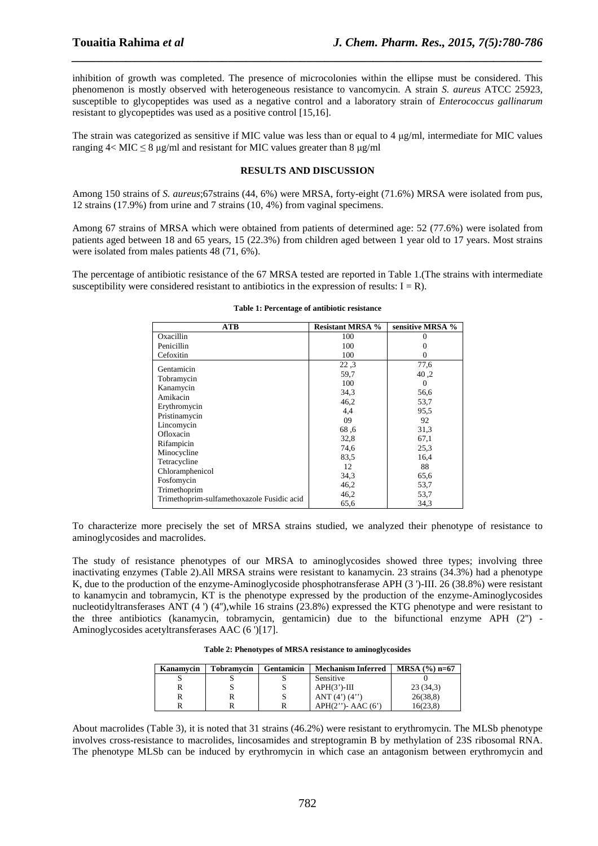inhibition of growth was completed. The presence of microcolonies within the ellipse must be considered. This phenomenon is mostly observed with heterogeneous resistance to vancomycin. A strain *S. aureus* ATCC 25923, susceptible to glycopeptides was used as a negative control and a laboratory strain of *Enterococcus gallinarum* resistant to glycopeptides was used as a positive control [15,16].

*\_\_\_\_\_\_\_\_\_\_\_\_\_\_\_\_\_\_\_\_\_\_\_\_\_\_\_\_\_\_\_\_\_\_\_\_\_\_\_\_\_\_\_\_\_\_\_\_\_\_\_\_\_\_\_\_\_\_\_\_\_\_\_\_\_\_\_\_\_\_\_\_\_\_\_\_\_\_*

The strain was categorized as sensitive if MIC value was less than or equal to 4 µg/ml, intermediate for MIC values ranging  $4 <$  MIC  $\leq$  8 µg/ml and resistant for MIC values greater than 8 µg/ml

#### **RESULTS AND DISCUSSION**

Among 150 strains of *S. aureus*;67strains (44, 6%) were MRSA, forty-eight (71.6%) MRSA were isolated from pus, 12 strains (17.9%) from urine and 7 strains (10, 4%) from vaginal specimens.

Among 67 strains of MRSA which were obtained from patients of determined age: 52 (77.6%) were isolated from patients aged between 18 and 65 years, 15 (22.3%) from children aged between 1 year old to 17 years. Most strains were isolated from males patients 48 (71, 6%).

The percentage of antibiotic resistance of the 67 MRSA tested are reported in Table 1.(The strains with intermediate susceptibility were considered resistant to antibiotics in the expression of results:  $I = R$ ).

| <b>ATB</b>                                 | <b>Resistant MRSA %</b> | sensitive MRSA % |
|--------------------------------------------|-------------------------|------------------|
| Oxacillin                                  | 100                     |                  |
| Penicillin                                 | 100                     |                  |
| Cefoxitin                                  | 100                     | $^{(1)}$         |
| Gentamicin                                 | 22.3                    | 77,6             |
|                                            | 59,7                    | 40.2             |
| Tobramycin                                 | 100                     | $\Omega$         |
| Kanamycin                                  | 34.3                    | 56,6             |
| Amikacin                                   | 46,2                    | 53,7             |
| Erythromycin                               | 4,4                     | 95.5             |
| Pristinamycin                              | 09                      | 92               |
| Lincomycin                                 | 68.6                    | 31,3             |
| Ofloxacin                                  | 32,8                    | 67,1             |
| Rifampicin                                 | 74,6                    | 25.3             |
| Minocycline                                | 83.5                    | 16,4             |
| Tetracycline                               | 12                      | 88               |
| Chloramphenicol                            | 34.3                    | 65.6             |
| Fosfomycin                                 | 46,2                    | 53,7             |
| Trimethoprim                               | 46,2                    | 53,7             |
| Trimethoprim-sulfamethoxazole Fusidic acid | 65,6                    | 34.3             |

#### **Table 1: Percentage of antibiotic resistance**

To characterize more precisely the set of MRSA strains studied, we analyzed their phenotype of resistance to aminoglycosides and macrolides.

The study of resistance phenotypes of our MRSA to aminoglycosides showed three types; involving three inactivating enzymes (Table 2).All MRSA strains were resistant to kanamycin. 23 strains (34.3%) had a phenotype K, due to the production of the enzyme-Aminoglycoside phosphotransferase APH (3 ')-III. 26 (38.8%) were resistant to kanamycin and tobramycin, KT is the phenotype expressed by the production of the enzyme-Aminoglycosides nucleotidyltransferases ANT (4 ') (4''),while 16 strains (23.8%) expressed the KTG phenotype and were resistant to the three antibiotics (kanamycin, tobramycin, gentamicin) due to the bifunctional enzyme APH (2'') - Aminoglycosides acetyltransferases AAC (6 ')[17].

| Kanamvcin | Tobramvcin | <b>Gentamicin</b> | <b>Mechanism Inferred</b> | $MRSA (%) n=67$ |
|-----------|------------|-------------------|---------------------------|-----------------|
|           |            |                   | Sensitive                 |                 |
|           | v.         |                   | $APH(3')-III$             | 23(34,3)        |
|           |            |                   | ANT $(4') (4'')$          | 26(38,8)        |
|           |            |                   | $APH(2'')-$ AAC $(6')$    | 16(23.8)        |

About macrolides (Table 3), it is noted that 31 strains (46.2%) were resistant to erythromycin. The MLSb phenotype involves cross-resistance to macrolides, lincosamides and streptogramin B by methylation of 23S ribosomal RNA. The phenotype MLSb can be induced by erythromycin in which case an antagonism between erythromycin and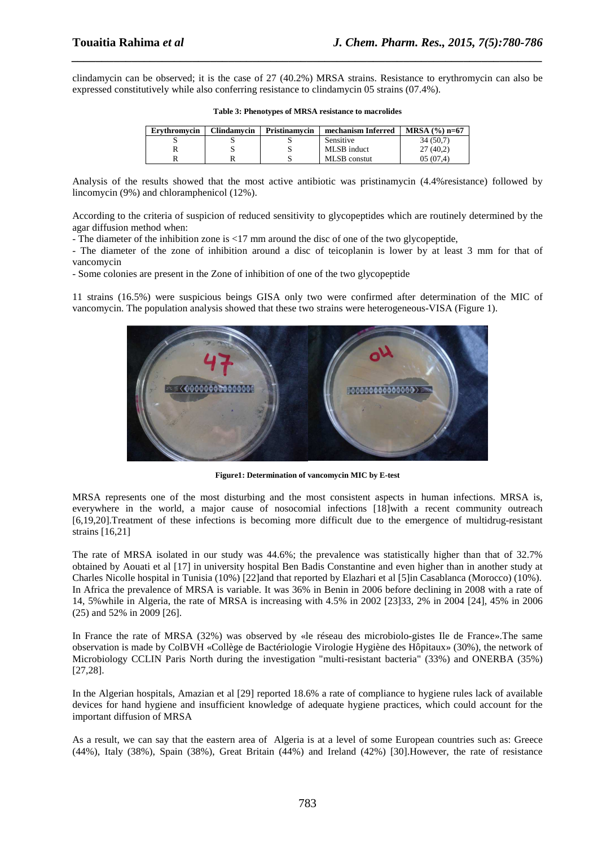clindamycin can be observed; it is the case of 27 (40.2%) MRSA strains. Resistance to erythromycin can also be expressed constitutively while also conferring resistance to clindamycin 05 strains (07.4%).

*\_\_\_\_\_\_\_\_\_\_\_\_\_\_\_\_\_\_\_\_\_\_\_\_\_\_\_\_\_\_\_\_\_\_\_\_\_\_\_\_\_\_\_\_\_\_\_\_\_\_\_\_\_\_\_\_\_\_\_\_\_\_\_\_\_\_\_\_\_\_\_\_\_\_\_\_\_\_*

| Ervthromvcin | Clindamvcin | Pristinamycin | mechanism Inferred | $MRSA (%) n=67$ |
|--------------|-------------|---------------|--------------------|-----------------|
|              |             |               | Sensitive          | 34(50.7)        |
|              |             |               | MLSB induct        | 27(40,2)        |
|              |             |               | MLSB constut       | 05(07.4)        |

| Table 3: Phenotypes of MRSA resistance to macrolides |  |
|------------------------------------------------------|--|
|------------------------------------------------------|--|

Analysis of the results showed that the most active antibiotic was pristinamycin (4.4%resistance) followed by lincomycin (9%) and chloramphenicol (12%).

According to the criteria of suspicion of reduced sensitivity to glycopeptides which are routinely determined by the agar diffusion method when:

- The diameter of the inhibition zone is <17 mm around the disc of one of the two glycopeptide,

- The diameter of the zone of inhibition around a disc of teicoplanin is lower by at least 3 mm for that of vancomycin

- Some colonies are present in the Zone of inhibition of one of the two glycopeptide

11 strains (16.5%) were suspicious beings GISA only two were confirmed after determination of the MIC of vancomycin. The population analysis showed that these two strains were heterogeneous-VISA (Figure 1).



**Figure1: Determination of vancomycin MIC by E-test** 

MRSA represents one of the most disturbing and the most consistent aspects in human infections. MRSA is, everywhere in the world, a major cause of nosocomial infections [18]with a recent community outreach [6,19,20].Treatment of these infections is becoming more difficult due to the emergence of multidrug-resistant strains [16,21]

The rate of MRSA isolated in our study was 44.6%; the prevalence was statistically higher than that of 32.7% obtained by Aouati et al [17] in university hospital Ben Badis Constantine and even higher than in another study at Charles Nicolle hospital in Tunisia (10%) [22]and that reported by Elazhari et al [5]in Casablanca (Morocco) (10%). In Africa the prevalence of MRSA is variable. It was 36% in Benin in 2006 before declining in 2008 with a rate of 14, 5%while in Algeria, the rate of MRSA is increasing with 4.5% in 2002 [23]33, 2% in 2004 [24], 45% in 2006 (25) and 52% in 2009 [26].

In France the rate of MRSA (32%) was observed by «le réseau des microbiolo-gistes Ile de France».The same observation is made by ColBVH «Collège de Bactériologie Virologie Hygiène des Hôpitaux» (30%), the network of Microbiology CCLIN Paris North during the investigation "multi-resistant bacteria" (33%) and ONERBA (35%) [27,28].

In the Algerian hospitals, Amazian et al [29] reported 18.6% a rate of compliance to hygiene rules lack of available devices for hand hygiene and insufficient knowledge of adequate hygiene practices, which could account for the important diffusion of MRSA

As a result, we can say that the eastern area of Algeria is at a level of some European countries such as: Greece (44%), Italy (38%), Spain (38%), Great Britain (44%) and Ireland (42%) [30].However, the rate of resistance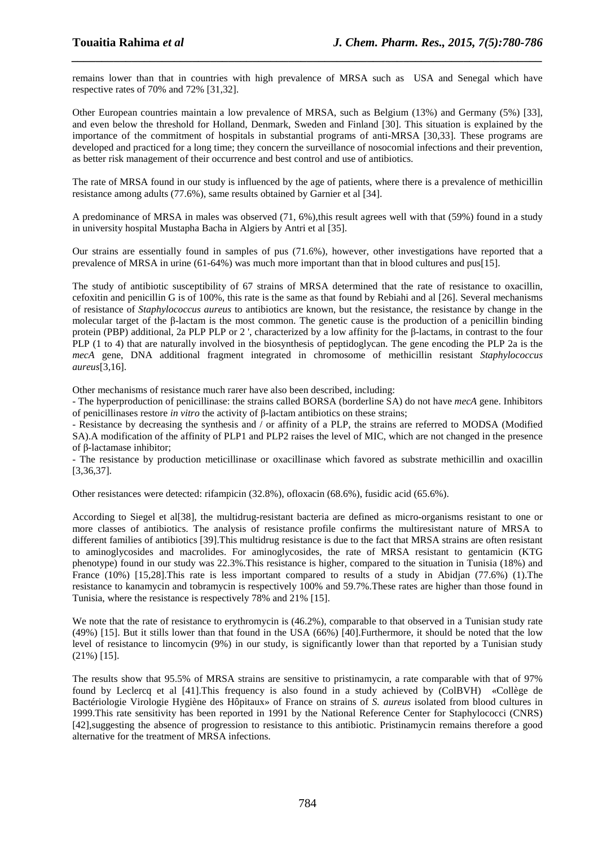remains lower than that in countries with high prevalence of MRSA such as USA and Senegal which have respective rates of 70% and 72% [31,32].

*\_\_\_\_\_\_\_\_\_\_\_\_\_\_\_\_\_\_\_\_\_\_\_\_\_\_\_\_\_\_\_\_\_\_\_\_\_\_\_\_\_\_\_\_\_\_\_\_\_\_\_\_\_\_\_\_\_\_\_\_\_\_\_\_\_\_\_\_\_\_\_\_\_\_\_\_\_\_*

Other European countries maintain a low prevalence of MRSA, such as Belgium (13%) and Germany (5%) [33], and even below the threshold for Holland, Denmark, Sweden and Finland [30]. This situation is explained by the importance of the commitment of hospitals in substantial programs of anti-MRSA [30,33]. These programs are developed and practiced for a long time; they concern the surveillance of nosocomial infections and their prevention, as better risk management of their occurrence and best control and use of antibiotics.

The rate of MRSA found in our study is influenced by the age of patients, where there is a prevalence of methicillin resistance among adults (77.6%), same results obtained by Garnier et al [34].

A predominance of MRSA in males was observed (71, 6%),this result agrees well with that (59%) found in a study in university hospital Mustapha Bacha in Algiers by Antri et al [35].

Our strains are essentially found in samples of pus (71.6%), however, other investigations have reported that a prevalence of MRSA in urine (61-64%) was much more important than that in blood cultures and pus[15].

The study of antibiotic susceptibility of 67 strains of MRSA determined that the rate of resistance to oxacillin, cefoxitin and penicillin G is of 100%, this rate is the same as that found by Rebiahi and al [26]. Several mechanisms of resistance of *Staphylococcus aureus* to antibiotics are known, but the resistance, the resistance by change in the molecular target of the β-lactam is the most common. The genetic cause is the production of a penicillin binding protein (PBP) additional, 2a PLP PLP or 2 ', characterized by a low affinity for the β-lactams, in contrast to the four PLP (1 to 4) that are naturally involved in the biosynthesis of peptidoglycan. The gene encoding the PLP 2a is the *mecA* gene, DNA additional fragment integrated in chromosome of methicillin resistant *Staphylococcus aureus*[3,16].

Other mechanisms of resistance much rarer have also been described, including:

- The hyperproduction of penicillinase: the strains called BORSA (borderline SA) do not have *mecA* gene. Inhibitors of penicillinases restore *in vitro* the activity of β-lactam antibiotics on these strains;

- Resistance by decreasing the synthesis and / or affinity of a PLP, the strains are referred to MODSA (Modified SA).A modification of the affinity of PLP1 and PLP2 raises the level of MIC, which are not changed in the presence of β-lactamase inhibitor;

- The resistance by production meticillinase or oxacillinase which favored as substrate methicillin and oxacillin [3,36,37].

Other resistances were detected: rifampicin (32.8%), ofloxacin (68.6%), fusidic acid (65.6%).

According to Siegel et al[38], the multidrug-resistant bacteria are defined as micro-organisms resistant to one or more classes of antibiotics. The analysis of resistance profile confirms the multiresistant nature of MRSA to different families of antibiotics [39].This multidrug resistance is due to the fact that MRSA strains are often resistant to aminoglycosides and macrolides. For aminoglycosides, the rate of MRSA resistant to gentamicin (KTG phenotype) found in our study was 22.3%.This resistance is higher, compared to the situation in Tunisia (18%) and France (10%) [15,28].This rate is less important compared to results of a study in Abidjan (77.6%) (1).The resistance to kanamycin and tobramycin is respectively 100% and 59.7%.These rates are higher than those found in Tunisia, where the resistance is respectively 78% and 21% [15].

We note that the rate of resistance to erythromycin is  $(46.2%)$ , comparable to that observed in a Tunisian study rate (49%) [15]. But it stills lower than that found in the USA (66%) [40].Furthermore, it should be noted that the low level of resistance to lincomycin (9%) in our study, is significantly lower than that reported by a Tunisian study (21%) [15].

The results show that 95.5% of MRSA strains are sensitive to pristinamycin, a rate comparable with that of 97% found by Leclercq et al [41].This frequency is also found in a study achieved by (ColBVH) «Collège de Bactériologie Virologie Hygiène des Hôpitaux» of France on strains of *S. aureus* isolated from blood cultures in 1999.This rate sensitivity has been reported in 1991 by the National Reference Center for Staphylococci (CNRS) [42],suggesting the absence of progression to resistance to this antibiotic. Pristinamycin remains therefore a good alternative for the treatment of MRSA infections.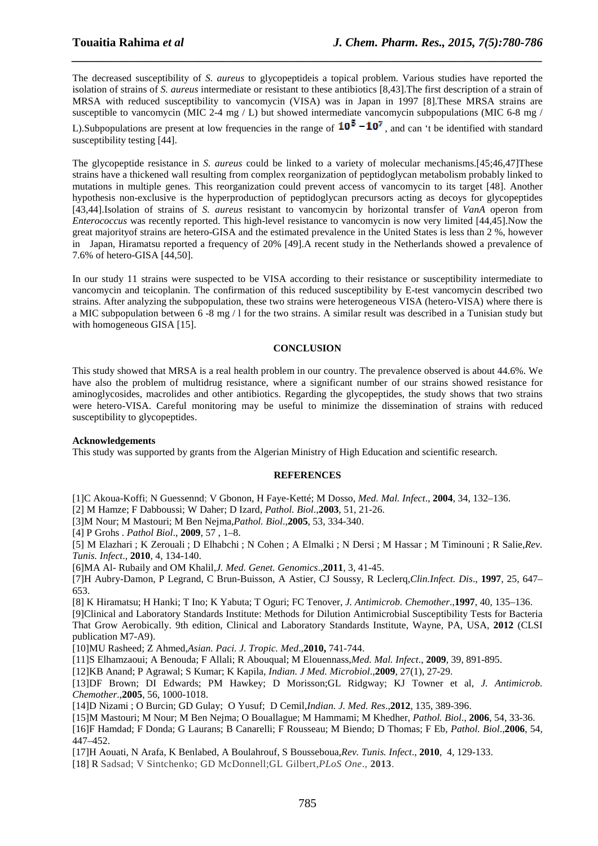The decreased susceptibility of *S. aureus* to glycopeptideis a topical problem. Various studies have reported the isolation of strains of *S. aureus* intermediate or resistant to these antibiotics [8,43].The first description of a strain of MRSA with reduced susceptibility to vancomycin (VISA) was in Japan in 1997 [8].These MRSA strains are susceptible to vancomycin (MIC 2-4 mg / L) but showed intermediate vancomycin subpopulations (MIC 6-8 mg /

*\_\_\_\_\_\_\_\_\_\_\_\_\_\_\_\_\_\_\_\_\_\_\_\_\_\_\_\_\_\_\_\_\_\_\_\_\_\_\_\_\_\_\_\_\_\_\_\_\_\_\_\_\_\_\_\_\_\_\_\_\_\_\_\_\_\_\_\_\_\_\_\_\_\_\_\_\_\_*

L).Subpopulations are present at low frequencies in the range of  $10^5 - 10^7$ , and can 't be identified with standard susceptibility testing [44].

The glycopeptide resistance in *S. aureus* could be linked to a variety of molecular mechanisms.[45;46,47]These strains have a thickened wall resulting from complex reorganization of peptidoglycan metabolism probably linked to mutations in multiple genes. This reorganization could prevent access of vancomycin to its target [48]. Another hypothesis non-exclusive is the hyperproduction of peptidoglycan precursors acting as decoys for glycopeptides [43,44].Isolation of strains of *S. aureus* resistant to vancomycin by horizontal transfer of *VanA* operon from *Enterococcus* was recently reported. This high-level resistance to vancomycin is now very limited [44,45].Now the great majorityof strains are hetero-GISA and the estimated prevalence in the United States is less than 2 %, however in Japan, Hiramatsu reported a frequency of 20% [49].A recent study in the Netherlands showed a prevalence of 7.6% of hetero-GISA [44,50].

In our study 11 strains were suspected to be VISA according to their resistance or susceptibility intermediate to vancomycin and teicoplanin. The confirmation of this reduced susceptibility by E-test vancomycin described two strains. After analyzing the subpopulation, these two strains were heterogeneous VISA (hetero-VISA) where there is a MIC subpopulation between 6 -8 mg / l for the two strains. A similar result was described in a Tunisian study but with homogeneous GISA [15].

#### **CONCLUSION**

This study showed that MRSA is a real health problem in our country. The prevalence observed is about 44.6%. We have also the problem of multidrug resistance, where a significant number of our strains showed resistance for aminoglycosides, macrolides and other antibiotics. Regarding the glycopeptides, the study shows that two strains were hetero-VISA. Careful monitoring may be useful to minimize the dissemination of strains with reduced susceptibility to glycopeptides.

#### **Acknowledgements**

This study was supported by grants from the Algerian Ministry of High Education and scientific research.

#### **REFERENCES**

[1]C Akoua-Koffi; N Guessennd; V Gbonon, H Faye-Ketté; M Dosso, *Med. Mal. Infect*., **2004**, 34, 132–136.

[2] M Hamze; F Dabboussi; W Daher; D Izard, *Pathol. Biol*.,**2003**, 51, 21-26.

[3]M Nour; M Mastouri; M Ben Nejma,*Pathol. Biol*.,**2005**, 53, 334-340.

[4] P Grohs . *Pathol Biol*., **2009**, 57 , 1–8.

[5] M Elazhari ; K Zerouali ; D Elhabchi ; N Cohen ; A Elmalki ; N Dersi ; M Hassar ; M Timinouni ; R Salie,*Rev. Tunis. Infect*., **2010**, 4, 134-140.

[6]MA Al- Rubaily and OM Khalil,*J. Med. Genet. Genomics*.,**2011**, 3, 41-45.

[7]H Aubry-Damon, P Legrand, C Brun-Buisson, A Astier, CJ Soussy, R Leclerq,*Clin.Infect. Dis*., **1997**, 25, 647– 653.

[8] K Hiramatsu; H Hanki; T Ino; K Yabuta; T Oguri; FC Tenover, *J. Antimicrob. Chemother*.,**1997**, 40, 135–136.

[9]Clinical and Laboratory Standards Institute: Methods for Dilution Antimicrobial Susceptibility Tests for Bacteria That Grow Aerobically. 9th edition, Clinical and Laboratory Standards Institute, Wayne, PA, USA, **2012** (CLSI publication M7-A9).

[10]MU Rasheed; Z Ahmed,*Asian. Paci. J. Tropic. Med*.,**2010,** 741-744.

[11]S Elhamzaoui; A Benouda; F Allali; R Abouqual; M Elouennass,*Med. Mal. Infect*., **2009**, 39, 891-895.

[12]KB Anand; P Agrawal; S Kumar; K Kapila, *Indian. J Med. Microbiol*.,**2009**, 27(1), 27-29.

[13]DF Brown; DI Edwards; PM Hawkey; D Morisson;GL Ridgway; KJ Towner et al, *J. Antimicrob. Chemother*.,**2005**, 56, 1000-1018.

[14]D Nizami ; O Burcin; GD Gulay; O Yusuf; D Cemil,*Indian. J. Med. Res*.,**2012**, 135, 389-396.

[15]M Mastouri; M Nour; M Ben Nejma; O Bouallague; M Hammami; M Khedher, *Pathol. Biol*., **2006**, 54, 33-36.

[16]F Hamdad; F Donda; G Laurans; B Canarelli; F Rousseau; M Biendo; D Thomas; F Eb, *Pathol. Biol*.,**2006**, 54, 447–452.

[17]H Aouati, N Arafa, K Benlabed, A Boulahrouf, S Bousseboua,*Rev. Tunis. Infect*., **2010**, 4, 129-133.

[18] R Sadsad; V Sintchenko; GD McDonnell;GL Gilbert,*PLoS One*., **2013**.